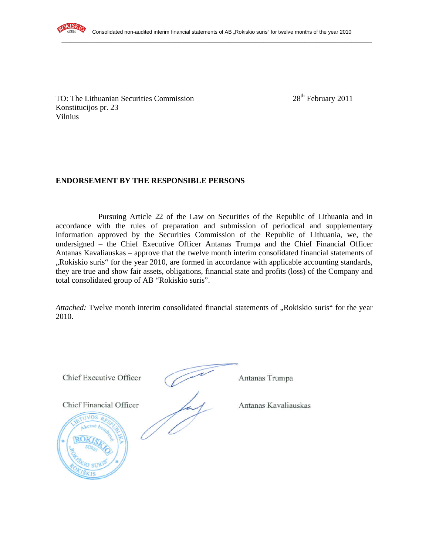

TO: The Lithuanian Securities Commission 28<sup>th</sup> February 2011 Konstitucijos pr. 23 Vilnius

# **ENDORSEMENT BY THE RESPONSIBLE PERSONS**

Pursuing Article 22 of the Law on Securities of the Republic of Lithuania and in accordance with the rules of preparation and submission of periodical and supplementary information approved by the Securities Commission of the Republic of Lithuania, we, the undersigned – the Chief Executive Officer Antanas Trumpa and the Chief Financial Officer Antanas Kavaliauskas – approve that the twelve month interim consolidated financial statements of "Rokiskio suris" for the year 2010, are formed in accordance with applicable accounting standards, they are true and show fair assets, obligations, financial state and profits (loss) of the Company and total consolidated group of AB "Rokiskio suris".

*Attached:* Twelve month interim consolidated financial statements of "Rokiskio suris" for the year 2010.

Chief Executive Officer (Antanas Trumpa

Chief Financial Officer Antanas Kavaliauskas

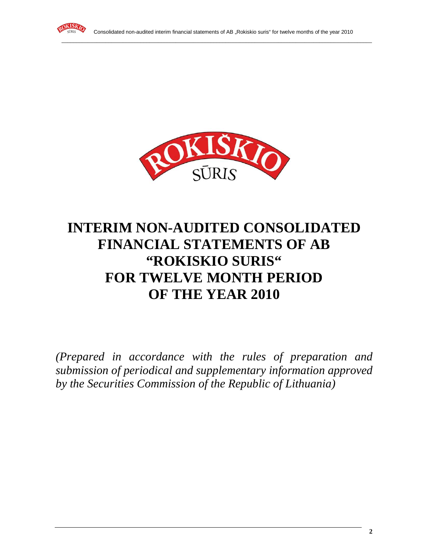



# **INTERIM NON-AUDITED CONSOLIDATED FINANCIAL STATEMENTS OF AB "ROKISKIO SURIS" FOR TWELVE MONTH PERIOD OF THE YEAR 2010**

*(Prepared in accordance with the rules of preparation and submission of periodical and supplementary information approved by the Securities Commission of the Republic of Lithuania)*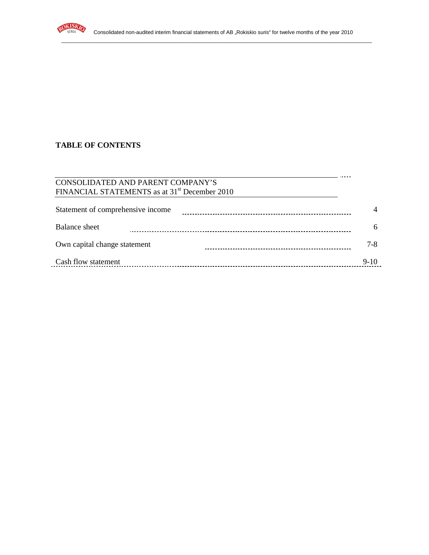

÷,

\_\_\_\_\_\_\_\_\_\_\_\_\_\_\_\_\_\_\_\_\_\_\_\_\_\_\_\_\_\_\_\_\_\_\_\_\_\_\_\_\_\_\_\_\_\_\_\_\_\_\_\_\_\_\_\_\_\_\_\_\_\_\_\_\_\_\_\_\_\_\_\_\_\_\_\_\_\_\_\_\_\_\_\_\_\_\_\_\_\_\_\_\_\_\_\_\_\_\_\_\_\_\_\_\_\_

# **TABLE OF CONTENTS**

| CONSOLIDATED AND PARENT COMPANY'S                         |         |
|-----------------------------------------------------------|---------|
| FINANCIAL STATEMENTS as at 31 <sup>st</sup> December 2010 |         |
| Statement of comprehensive income                         |         |
| Balance sheet                                             |         |
| Own capital change statement                              | $7 - 8$ |
| Cash flow statement                                       | $9-10$  |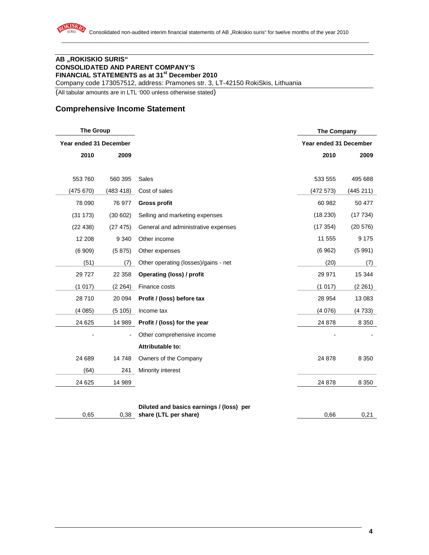

# **AB "ROKISKIO SURIS" CONSOLIDATED AND PARENT COMPANY'S FINANCIAL STATEMENTS as at 31st December 2010**

Company code 173057512, address: Pramones str. 3, LT-42150 RokiSkis, Lithuania

(All tabular amounts are in LTL '000 unless otherwise stated)

# **Comprehensive Income Statement**

| <b>The Group</b>       |           |                                          | <b>The Company</b>     |           |
|------------------------|-----------|------------------------------------------|------------------------|-----------|
| Year ended 31 December |           |                                          | Year ended 31 December |           |
| 2010                   | 2009      |                                          | 2010                   | 2009      |
| 553 760                | 560 395   | Sales                                    | 533 555                | 495 688   |
| (475670)               | (483 418) | Cost of sales                            | (472573)               | (445 211) |
| 78 090                 | 76 977    | <b>Gross profit</b>                      | 60 982                 | 50 477    |
| (31173)                | (30602)   | Selling and marketing expenses           | (18230)                | (17734)   |
| (22438)                | (27 475)  | General and administrative expenses      | (17354)                | (20 576)  |
| 12 208                 | 9 3 4 0   | Other income                             | 11 555                 | 9 1 7 5   |
| (6909)                 | (5875)    | Other expenses                           | (6962)                 | (5991)    |
| (51)                   | (7)       | Other operating (losses)/gains - net     | (20)                   | (7)       |
| 29727                  | 22 358    | <b>Operating (loss) / profit</b>         | 29 971                 | 15 344    |
| (1017)                 | (2 264)   | Finance costs                            | (1017)                 | (2 261)   |
| 28710                  | 20 094    | Profit / (loss) before tax               | 28 9 54                | 13 083    |
| (4085)                 | (5105)    | Income tax                               | (4076)                 | (4 733)   |
| 24 6 25                | 14 989    | Profit / (loss) for the year             | 24 878                 | 8 3 5 0   |
|                        |           | Other comprehensive income               |                        |           |
|                        |           | Attributable to:                         |                        |           |
| 24 689                 | 14 748    | Owners of the Company                    | 24 878                 | 8 3 5 0   |
| (64)                   | 241       | Minority interest                        |                        |           |
| 24 6 25                | 14 989    |                                          | 24 878                 | 8 3 5 0   |
|                        |           | Diluted and basics earnings / (loss) per |                        |           |
| 0,65                   | 0,38      | share (LTL per share)                    | 0,66                   | 0,21      |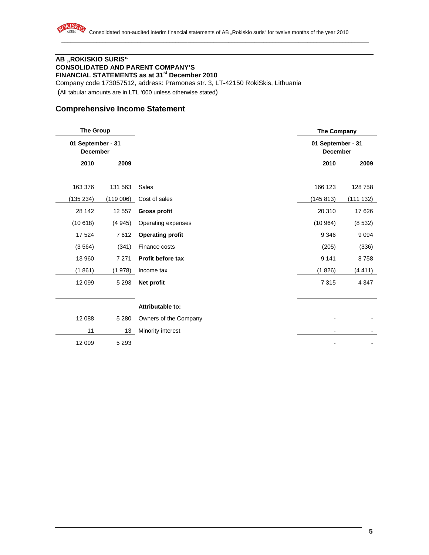# **AB "ROKISKIO SURIS" CONSOLIDATED AND PARENT COMPANY'S FINANCIAL STATEMENTS as at 31st December 2010**

Company code 173057512, address: Pramones str. 3, LT-42150 RokiSkis, Lithuania

(All tabular amounts are in LTL '000 unless otherwise stated)

# **Comprehensive Income Statement**

| <b>The Group</b>                     |          |                         | <b>The Company</b>                   |           |
|--------------------------------------|----------|-------------------------|--------------------------------------|-----------|
| 01 September - 31<br><b>December</b> |          |                         | 01 September - 31<br><b>December</b> |           |
| 2010                                 | 2009     |                         | 2010                                 | 2009      |
| 163 376                              | 131 563  | Sales                   | 166 123                              | 128 758   |
| (135 234)                            | (119006) | Cost of sales           | (145 813)                            | (111 132) |
| 28 142                               | 12 557   | <b>Gross profit</b>     | 20 310                               | 17 626    |
| (10618)                              | (4945)   | Operating expenses      | (10964)                              | (8532)    |
| 17 524                               | 7612     | <b>Operating profit</b> | 9 3 4 6                              | 9094      |
| (3564)                               | (341)    | Finance costs           | (205)                                | (336)     |
| 13 960                               | 7 2 7 1  | Profit before tax       | 9 1 4 1                              | 8758      |
| (1861)                               | (1978)   | Income tax              | (1826)                               | (4411)    |
| 12 099                               | 5 2 9 3  | Net profit              | 7315                                 | 4 3 4 7   |
|                                      |          | Attributable to:        |                                      |           |
| 12 088                               | 5 2 8 0  | Owners of the Company   |                                      |           |
| 11                                   | 13       | Minority interest       |                                      |           |
| 12 0 9 9                             | 5 2 9 3  |                         |                                      |           |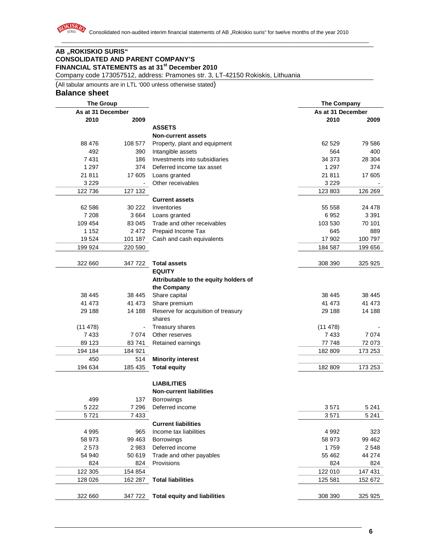

## **AB "ROKISKIO SURIS" CONSOLIDATED AND PARENT COMPANY'S FINANCIAL STATEMENTS as at 31st December 2010**

Company code 173057512, address: Pramones str. 3, LT-42150 Rokiskis, Lithuania

(All tabular amounts are in LTL '000 unless otherwise stated)

# **Balance sheet**

| <b>The Group</b>  |                          | <b>The Company</b>                    |                   |         |
|-------------------|--------------------------|---------------------------------------|-------------------|---------|
| As at 31 December |                          |                                       | As at 31 December |         |
| 2010              | 2009                     |                                       | 2010              | 2009    |
|                   |                          | <b>ASSETS</b>                         |                   |         |
|                   |                          | <b>Non-current assets</b>             |                   |         |
| 88 476            | 108 577                  | Property, plant and equipment         | 62 529            | 79 586  |
| 492               | 390                      | Intangible assets                     | 564               | 400     |
| 7431              | 186                      | Investments into subsidiaries         | 34 373            | 28 304  |
| 1 2 9 7           | 374                      | Deferred income tax asset             | 1 2 9 7           | 374     |
| 21811             | 17 605                   | Loans granted                         | 21 811            | 17 605  |
| 3 2 2 9           | $\blacksquare$           | Other receivables                     | 3 2 2 9           |         |
| 122 736           | 127 132                  |                                       | 123 803           | 126 269 |
|                   |                          | <b>Current assets</b>                 |                   |         |
| 62 586            | 30 222                   | Inventories                           | 55 558            | 24 478  |
| 7 2 0 8           | 3664                     | Loans granted                         | 6952              | 3 3 9 1 |
| 109 454           | 83 045                   | Trade and other receivables           | 103 530           | 70 101  |
| 1 1 5 2           | 2 4 7 2                  | Prepaid Income Tax                    | 645               | 889     |
| 19524             | 101 187                  | Cash and cash equivalents             | 17 902            | 100 797 |
| 199 924           | 220 590                  |                                       | 184 587           | 199 656 |
|                   |                          |                                       |                   |         |
| 322 660           | 347 722                  | <b>Total assets</b>                   | 308 390           | 325 925 |
|                   |                          | <b>EQUITY</b>                         |                   |         |
|                   |                          | Attributable to the equity holders of |                   |         |
|                   |                          | the Company                           |                   |         |
| 38 4 45           | 38 445                   | Share capital                         | 38 445            | 38 445  |
| 41 473            | 41 473                   | Share premium                         | 41 473            | 41 473  |
| 29 188            | 14 188                   | Reserve for acquisition of treasury   | 29 188            | 14 188  |
|                   |                          | shares                                |                   |         |
| (11 478)          | $\overline{\phantom{a}}$ | Treasury shares                       | (11 478)          |         |
| 7433              | 7074                     | Other reserves                        | 7 4 3 3           | 7074    |
| 89 1 23           | 83741                    | Retained earnings                     | 77 748            | 72 073  |
| 194 184           | 184 921                  |                                       | 182 809           | 173 253 |
| 450               | 514                      | <b>Minority interest</b>              |                   |         |
| 194 634           | 185 435                  | <b>Total equity</b>                   | 182 809           | 173 253 |
|                   |                          |                                       |                   |         |
|                   |                          | <b>LIABILITIES</b>                    |                   |         |
|                   |                          | <b>Non-current liabilities</b>        |                   |         |
| 499               | 137                      | <b>Borrowings</b>                     |                   |         |
| 5 2 2 2           | 7 2 9 6                  | Deferred income                       | 3571              | 5 2 4 1 |
| 5721              | 7433                     |                                       | 3571              | 5 2 4 1 |
|                   |                          | <b>Current liabilities</b>            |                   |         |
| 4995              | 965                      | Income tax liabilities                | 4 9 9 2           | 323     |
| 58 973            | 99 463                   | <b>Borrowings</b>                     | 58 973            | 99 4 62 |
| 2573              | 2983                     | Deferred income                       | 1759              | 2548    |
| 54 940            | 50 619                   | Trade and other payables              | 55 4 62           | 44 274  |
| 824               | 824                      | Provisions                            | 824               | 824     |
| 122 305           | 154 854                  |                                       | 122 010           | 147 431 |
|                   |                          | <b>Total liabilities</b>              |                   |         |
| 128 026           | 162 287                  |                                       | 125 581           | 152 672 |
|                   |                          | <b>Total equity and liabilities</b>   |                   |         |
| 322 660           | 347 722                  |                                       | 308 390           | 325 925 |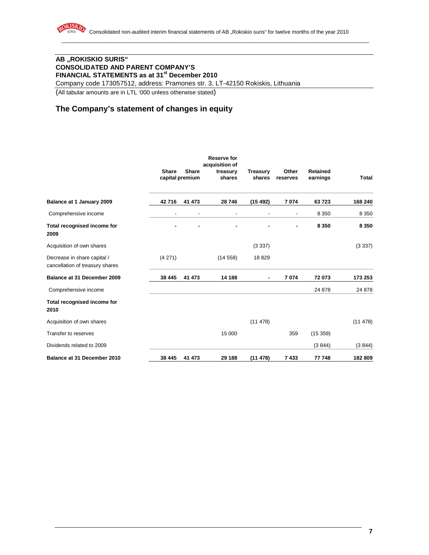

# **AB "ROKISKIO SURIS" CONSOLIDATED AND PARENT COMPANY'S FINANCIAL STATEMENTS as at 31st December 2010**

Company code 173057512, address: Pramones str. 3, LT-42150 Rokiskis, Lithuania

(All tabular amounts are in LTL '000 unless otherwise stated)

# **The Company's statement of changes in equity**

|                                                                |                          |                                 | <b>Reserve for</b><br>acquisition of |                           |                          |                      |          |
|----------------------------------------------------------------|--------------------------|---------------------------------|--------------------------------------|---------------------------|--------------------------|----------------------|----------|
|                                                                | <b>Share</b>             | <b>Share</b><br>capital premium | treasury<br>shares                   | <b>Treasury</b><br>shares | Other<br>reserves        | Retained<br>earnings | Total    |
| Balance at 1 January 2009                                      | 42716                    | 41 473                          | 28 746                               | (15 492)                  | 7074                     | 63723                | 168 240  |
| Comprehensive income                                           | $\overline{\phantom{a}}$ | $\overline{\phantom{a}}$        | $\overline{\phantom{0}}$             | $\overline{\phantom{a}}$  | $\overline{\phantom{a}}$ | 8 3 5 0              | 8 3 5 0  |
| Total recognised income for<br>2009                            |                          |                                 |                                      |                           | ٠                        | 8 3 5 0              | 8 3 5 0  |
| Acquisition of own shares                                      |                          |                                 |                                      | (3337)                    |                          |                      | (3337)   |
| Decrease in share capital /<br>cancellation of treasury shares | (4271)                   |                                 | (14558)                              | 18 829                    |                          |                      |          |
| Balance at 31 December 2009                                    | 38 445                   | 41 473                          | 14 188                               |                           | 7074                     | 72073                | 173 253  |
| Comprehensive income                                           |                          |                                 |                                      |                           |                          | 24 878               | 24 878   |
| Total recognised income for<br>2010                            |                          |                                 |                                      |                           |                          |                      |          |
| Acquisition of own shares                                      |                          |                                 |                                      | (11478)                   |                          |                      | (11 478) |
| Transfer to reserves                                           |                          |                                 | 15 000                               |                           | 359                      | (15359)              |          |
| Dividends related to 2009                                      |                          |                                 |                                      |                           |                          | (3844)               | (3844)   |
| Balance at 31 December 2010                                    | 38 445                   | 41 473                          | 29 188                               | (11 478)                  | 7433                     | 77 748               | 182 809  |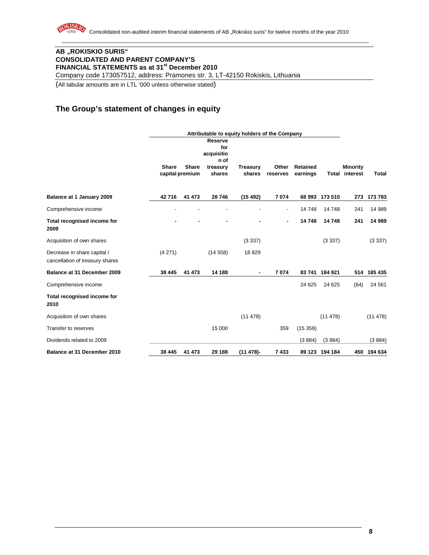

# **AB "ROKISKIO SURIS" CONSOLIDATED AND PARENT COMPANY'S FINANCIAL STATEMENTS as at 31st December 2010**  Company code 173057512, address: Pramones str. 3, LT-42150 Rokiskis, Lithuania

(All tabular amounts are in LTL '000 unless otherwise stated)

# **The Group's statement of changes in equity**

|                                                                | Attributable to equity holders of the Company |                                 |                                                                   |                           |                   |                             |                |                                          |              |
|----------------------------------------------------------------|-----------------------------------------------|---------------------------------|-------------------------------------------------------------------|---------------------------|-------------------|-----------------------------|----------------|------------------------------------------|--------------|
|                                                                | <b>Share</b>                                  | <b>Share</b><br>capital premium | <b>Reserve</b><br>for<br>acquisitio<br>n of<br>treasury<br>shares | <b>Treasury</b><br>shares | Other<br>reserves | <b>Retained</b><br>earnings |                | <b>Minority</b><br><b>Total interest</b> | <b>Total</b> |
| Balance at 1 January 2009                                      | 42716                                         | 41 473                          | 28 746                                                            | (15492)                   | 7074              |                             | 68 993 173 510 | 273                                      | 173 783      |
| Comprehensive income                                           |                                               |                                 |                                                                   |                           |                   | 14 748                      | 14748          | 241                                      | 14 989       |
| Total recognised income for<br>2009                            |                                               |                                 |                                                                   |                           |                   | 14748                       | 14748          | 241                                      | 14 989       |
| Acquisition of own shares                                      |                                               |                                 |                                                                   | (3337)                    |                   |                             | (3337)         |                                          | (3337)       |
| Decrease in share capital /<br>cancellation of treasury shares | (4271)                                        |                                 | (14558)                                                           | 18829                     |                   |                             |                |                                          |              |
| Balance at 31 December 2009                                    | 38 445                                        | 41 473                          | 14 188                                                            | $\blacksquare$            | 7074              | 83 741                      | 184 921        | 514                                      | 185 435      |
| Comprehensive income                                           |                                               |                                 |                                                                   |                           |                   | 24 6 25                     | 24 6 25        | (64)                                     | 24 5 61      |
| Total recognised income for<br>2010                            |                                               |                                 |                                                                   |                           |                   |                             |                |                                          |              |
| Acquisition of own shares                                      |                                               |                                 |                                                                   | (11478)                   |                   |                             | (11478)        |                                          | (11478)      |
| Transfer to reserves                                           |                                               |                                 | 15 000                                                            |                           | 359               | (15359)                     |                |                                          |              |
| Dividends related to 2009                                      |                                               |                                 |                                                                   |                           |                   | (3884)                      | (3884)         |                                          | (3884)       |
| Balance at 31 December 2010                                    | 38 445                                        | 41 473                          | 29 188                                                            | (11 478)-                 | 7433              | 89 123                      | 194 184        | 450                                      | 194 634      |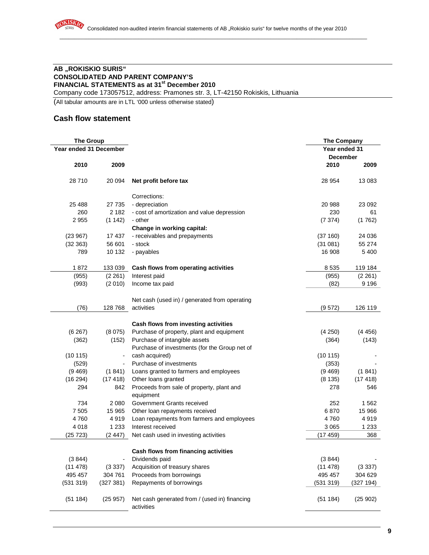# **AB "ROKISKIO SURIS" CONSOLIDATED AND PARENT COMPANY'S FINANCIAL STATEMENTS as at 31st December 2010**

Company code 173057512, address: Pramones str. 3, LT-42150 Rokiskis, Lithuania

(All tabular amounts are in LTL '000 unless otherwise stated)

# **Cash flow statement**

| <b>The Group</b>       |                          |                                                             | <b>The Company</b> |           |  |  |
|------------------------|--------------------------|-------------------------------------------------------------|--------------------|-----------|--|--|
| Year ended 31 December |                          |                                                             | Year ended 31      |           |  |  |
|                        |                          |                                                             | <b>December</b>    |           |  |  |
| 2010                   | 2009                     |                                                             | 2010               | 2009      |  |  |
| 28710                  | 20 094                   | Net profit before tax                                       | 28 954             | 13 083    |  |  |
|                        |                          | Corrections:                                                |                    |           |  |  |
| 25 4 88                | 27 735                   | - depreciation                                              | 20 988             | 23 092    |  |  |
| 260                    | 2 1 8 2                  | - cost of amortization and value depression                 | 230                | 61        |  |  |
| 2955                   | (1 142)                  | - other                                                     | (7374)             | (1762)    |  |  |
|                        |                          | Change in working capital:                                  |                    |           |  |  |
| (23967)                | 17 437                   | - receivables and prepayments                               | (37160)            | 24 036    |  |  |
| (32363)                | 56 601                   | - stock                                                     | (31081)            | 55 274    |  |  |
| 789                    | 10 132                   | - payables                                                  | 16 908             | 5 4 0 0   |  |  |
| 1872                   | 133 039                  | Cash flows from operating activities                        | 8 5 3 5            | 119 184   |  |  |
| (955)                  | (2 261)                  | Interest paid                                               | (955)              | (2 261)   |  |  |
| (993)                  | (2010)                   | Income tax paid                                             | (82)               | 9 1 9 6   |  |  |
|                        |                          | Net cash (used in) / generated from operating               |                    |           |  |  |
| (76)                   | 128 768                  | activities                                                  | (9572)             | 126 119   |  |  |
|                        |                          |                                                             |                    |           |  |  |
|                        |                          | Cash flows from investing activities                        |                    |           |  |  |
| (6267)                 | (8075)                   | Purchase of property, plant and equipment                   | (4250)             | (4456)    |  |  |
| (362)                  | (152)                    | Purchase of intangible assets                               | (364)              | (143)     |  |  |
|                        |                          | Purchase of investments (for the Group net of               |                    |           |  |  |
| (10115)                | $\overline{\phantom{a}}$ | cash acquired)                                              | (10115)            |           |  |  |
| (529)                  |                          | Purchase of investments                                     | (353)              |           |  |  |
| (9469)                 | (1841)                   | Loans granted to farmers and employees                      | (9469)             | (1841)    |  |  |
| (16294)                | (17418)                  | Other loans granted                                         | (8135)             | (17418)   |  |  |
| 294                    | 842                      | Proceeds from sale of property, plant and                   | 278                | 546       |  |  |
|                        |                          | equipment                                                   |                    |           |  |  |
| 734                    | 2 0 8 0                  | Government Grants received                                  | 252                | 1562      |  |  |
| 7 5 0 5                | 15 965                   | Other loan repayments received                              | 6870               | 15 966    |  |  |
| 4760                   | 4919                     | Loan repayments from farmers and employees                  | 4760               | 4919      |  |  |
| 4 0 18                 | 1 2 3 3                  | Interest received                                           | 3 0 6 5            | 1 2 3 3   |  |  |
| (25723)                | (2447)                   | Net cash used in investing activities                       | (17459)            | 368       |  |  |
|                        |                          |                                                             |                    |           |  |  |
|                        |                          | Cash flows from financing activities                        |                    |           |  |  |
| (3844)                 |                          | Dividends paid                                              | (3844)             |           |  |  |
| (11 478)               | (3337)                   | Acquisition of treasury shares                              | (11 478)           | (3337)    |  |  |
| 495 457                | 304 761                  | Proceeds from borrowings                                    | 495 457            | 304 629   |  |  |
| (531319)               | (327 381)                | Repayments of borrowings                                    | (531319)           | (327 194) |  |  |
| (51184)                | (25957)                  | Net cash generated from / (used in) financing<br>activities | (51184)            | (25902)   |  |  |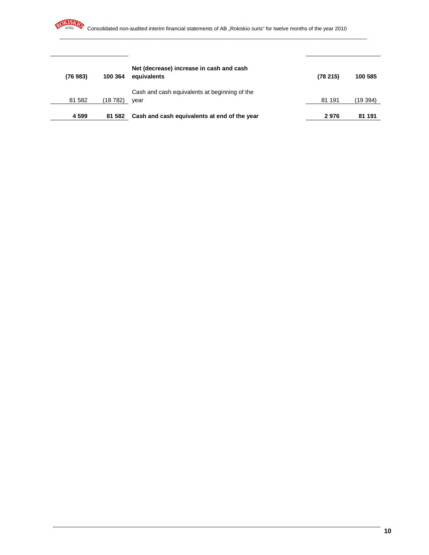| (76983) | 100 364 | Net (decrease) increase in cash and cash<br>equivalents | (78215) | 100 585  |
|---------|---------|---------------------------------------------------------|---------|----------|
| 81 582  | (18782) | Cash and cash equivalents at beginning of the<br>vear   | 81 191  | (19 394) |
| 4 5 9 9 | 81 582  | Cash and cash equivalents at end of the year            | 2976    | 81 191   |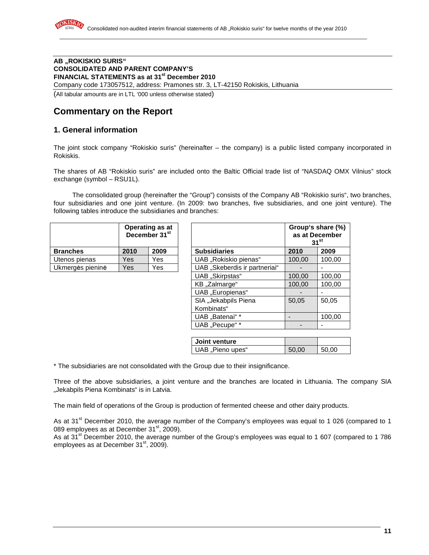#### **AB "ROKISKIO SURIS" CONSOLIDATED AND PARENT COMPANY'S FINANCIAL STATEMENTS as at 31st December 2010**  Company code 173057512, address: Pramones str. 3, LT-42150 Rokiskis, Lithuania

(All tabular amounts are in LTL '000 unless otherwise stated)

# **Commentary on the Report**

# **1. General information**

The joint stock company "Rokiskio suris" (hereinafter – the company) is a public listed company incorporated in Rokiskis.

The shares of AB "Rokiskio suris" are included onto the Baltic Official trade list of "NASDAQ OMX Vilnius" stock exchange (symbol – RSU1L).

The consolidated group (hereinafter the "Group") consists of the Company AB "Rokiskio suris", two branches, four subsidiaries and one joint venture. (In 2009: two branches, five subsidiaries, and one joint venture). The following tables introduce the subsidiaries and branches:

|                  | <b>Operating as at</b><br>December 31 <sup>st</sup> |      |  |
|------------------|-----------------------------------------------------|------|--|
| <b>Branches</b>  | 2010                                                | 2009 |  |
| Utenos pienas    | Yes                                                 | Yes  |  |
| Ukmergės pieninė | Yes                                                 | Yes  |  |

|                  |            | <b>Operating as at</b><br>December 31 <sup>st</sup> |                               |        | Group's share (%)<br>as at December<br>$31^{st}$ |
|------------------|------------|-----------------------------------------------------|-------------------------------|--------|--------------------------------------------------|
| <b>Branches</b>  | 2010       | 2009                                                | <b>Subsidiaries</b>           | 2010   | 2009                                             |
| Utenos pienas    | Yes.       | Yes                                                 | UAB "Rokiskio pienas"         | 100,00 | 100,00                                           |
| Ukmergės pieninė | <b>Yes</b> | Yes                                                 | UAB "Skeberdis ir partneriai" |        |                                                  |
|                  |            |                                                     | UAB "Skirpstas"               | 100,00 | 100.00                                           |
|                  |            |                                                     | KB "Zalmarge"                 | 100,00 | 100,00                                           |
|                  |            |                                                     | UAB "Europienas"              |        |                                                  |
|                  |            |                                                     | SIA "Jekabpils Piena          | 50,05  | 50,05                                            |
|                  |            |                                                     | Kombinats"                    |        |                                                  |
|                  |            |                                                     | UAB "Batenai" *               |        | 100.00                                           |
|                  |            |                                                     | UAB "Pecupe" *                |        |                                                  |
|                  |            |                                                     |                               |        |                                                  |

| Joint venture    |       |       |
|------------------|-------|-------|
| UAB "Pieno upes" | 50,00 | 50.00 |

\* The subsidiaries are not consolidated with the Group due to their insignificance.

Three of the above subsidiaries, a joint venture and the branches are located in Lithuania. The company SIA "Jekabpils Piena Kombinats" is in Latvia.

The main field of operations of the Group is production of fermented cheese and other dairy products.

As at 31<sup>st</sup> December 2010, the average number of the Company's employees was equal to 1 026 (compared to 1 089 employees as at December 31<sup>st</sup>, 2009).

As at 31<sup>st</sup> December 2010, the average number of the Group's employees was equal to 1 607 (compared to 1 786) employees as at December 31<sup>st</sup>, 2009).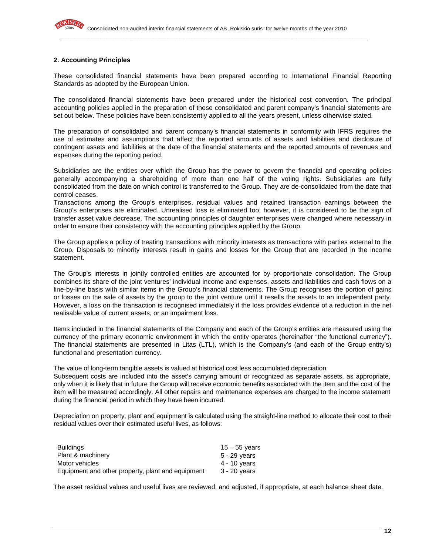## **2. Accounting Principles**

These consolidated financial statements have been prepared according to International Financial Reporting Standards as adopted by the European Union.

The consolidated financial statements have been prepared under the historical cost convention. The principal accounting policies applied in the preparation of these consolidated and parent company's financial statements are set out below. These policies have been consistently applied to all the years present, unless otherwise stated.

The preparation of consolidated and parent company's financial statements in conformity with IFRS requires the use of estimates and assumptions that affect the reported amounts of assets and liabilities and disclosure of contingent assets and liabilities at the date of the financial statements and the reported amounts of revenues and expenses during the reporting period.

Subsidiaries are the entities over which the Group has the power to govern the financial and operating policies generally accompanying a shareholding of more than one half of the voting rights. Subsidiaries are fully consolidated from the date on which control is transferred to the Group. They are de-consolidated from the date that control ceases.

Transactions among the Group's enterprises, residual values and retained transaction earnings between the Group's enterprises are eliminated. Unrealised loss is eliminated too; however, it is considered to be the sign of transfer asset value decrease. The accounting principles of daughter enterprises were changed where necessary in order to ensure their consistency with the accounting principles applied by the Group.

The Group applies a policy of treating transactions with minority interests as transactions with parties external to the Group. Disposals to minority interests result in gains and losses for the Group that are recorded in the income statement.

The Group's interests in jointly controlled entities are accounted for by proportionate consolidation. The Group combines its share of the joint ventures' individual income and expenses, assets and liabilities and cash flows on a line-by-line basis with similar items in the Group's financial statements. The Group recognises the portion of gains or losses on the sale of assets by the group to the joint venture until it resells the assets to an independent party. However, a loss on the transaction is recognised immediately if the loss provides evidence of a reduction in the net realisable value of current assets, or an impairment loss.

Items included in the financial statements of the Company and each of the Group's entities are measured using the currency of the primary economic environment in which the entity operates (hereinafter "the functional currency"). The financial statements are presented in Litas (LTL), which is the Company's (and each of the Group entity's) functional and presentation currency.

The value of long-term tangible assets is valued at historical cost less accumulated depreciation.

Subsequent costs are included into the asset's carrying amount or recognized as separate assets, as appropriate, only when it is likely that in future the Group will receive economic benefits associated with the item and the cost of the item will be measured accordingly. All other repairs and maintenance expenses are charged to the income statement during the financial period in which they have been incurred.

Depreciation on property, plant and equipment is calculated using the straight-line method to allocate their cost to their residual values over their estimated useful lives, as follows:

| <b>Buildings</b>                                  | $15 - 55$ years |
|---------------------------------------------------|-----------------|
| Plant & machinery                                 | 5 - 29 years    |
| Motor vehicles                                    | 4 - 10 years    |
| Equipment and other property, plant and equipment | 3 - 20 years    |

The asset residual values and useful lives are reviewed, and adjusted, if appropriate, at each balance sheet date.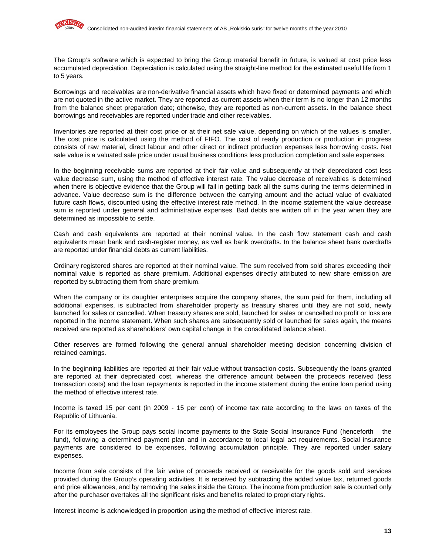The Group's software which is expected to bring the Group material benefit in future, is valued at cost price less accumulated depreciation. Depreciation is calculated using the straight-line method for the estimated useful life from 1 to 5 years.

Borrowings and receivables are non-derivative financial assets which have fixed or determined payments and which are not quoted in the active market. They are reported as current assets when their term is no longer than 12 months from the balance sheet preparation date; otherwise, they are reported as non-current assets. In the balance sheet borrowings and receivables are reported under trade and other receivables.

Inventories are reported at their cost price or at their net sale value, depending on which of the values is smaller. The cost price is calculated using the method of FIFO. The cost of ready production or production in progress consists of raw material, direct labour and other direct or indirect production expenses less borrowing costs. Net sale value is a valuated sale price under usual business conditions less production completion and sale expenses.

In the beginning receivable sums are reported at their fair value and subsequently at their depreciated cost less value decrease sum, using the method of effective interest rate. The value decrease of receivables is determined when there is objective evidence that the Group will fail in getting back all the sums during the terms determined in advance. Value decrease sum is the difference between the carrying amount and the actual value of evaluated future cash flows, discounted using the effective interest rate method. In the income statement the value decrease sum is reported under general and administrative expenses. Bad debts are written off in the year when they are determined as impossible to settle.

Cash and cash equivalents are reported at their nominal value. In the cash flow statement cash and cash equivalents mean bank and cash-register money, as well as bank overdrafts. In the balance sheet bank overdrafts are reported under financial debts as current liabilities.

Ordinary registered shares are reported at their nominal value. The sum received from sold shares exceeding their nominal value is reported as share premium. Additional expenses directly attributed to new share emission are reported by subtracting them from share premium.

When the company or its daughter enterprises acquire the company shares, the sum paid for them, including all additional expenses, is subtracted from shareholder property as treasury shares until they are not sold, newly launched for sales or cancelled. When treasury shares are sold, launched for sales or cancelled no profit or loss are reported in the income statement. When such shares are subsequently sold or launched for sales again, the means received are reported as shareholders' own capital change in the consolidated balance sheet.

Other reserves are formed following the general annual shareholder meeting decision concerning division of retained earnings.

In the beginning liabilities are reported at their fair value without transaction costs. Subsequently the loans granted are reported at their depreciated cost, whereas the difference amount between the proceeds received (less transaction costs) and the loan repayments is reported in the income statement during the entire loan period using the method of effective interest rate.

Income is taxed 15 per cent (in 2009 - 15 per cent) of income tax rate according to the laws on taxes of the Republic of Lithuania.

For its employees the Group pays social income payments to the State Social Insurance Fund (henceforth – the fund), following a determined payment plan and in accordance to local legal act requirements. Social insurance payments are considered to be expenses, following accumulation principle. They are reported under salary expenses.

Income from sale consists of the fair value of proceeds received or receivable for the goods sold and services provided during the Group's operating activities. It is received by subtracting the added value tax, returned goods and price allowances, and by removing the sales inside the Group. The income from production sale is counted only after the purchaser overtakes all the significant risks and benefits related to proprietary rights.

Interest income is acknowledged in proportion using the method of effective interest rate.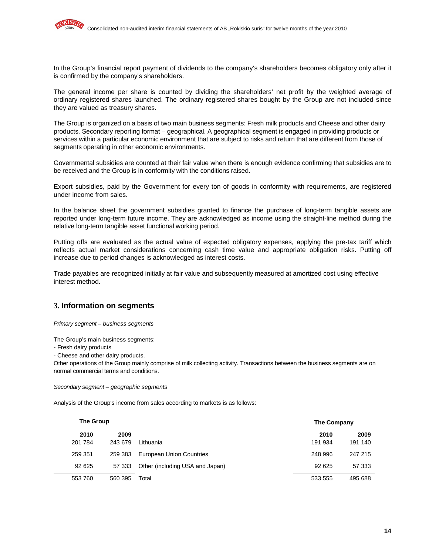

In the Group's financial report payment of dividends to the company's shareholders becomes obligatory only after it is confirmed by the company's shareholders.

The general income per share is counted by dividing the shareholders' net profit by the weighted average of ordinary registered shares launched. The ordinary registered shares bought by the Group are not included since they are valued as treasury shares.

The Group is organized on a basis of two main business segments: Fresh milk products and Cheese and other dairy products. Secondary reporting format – geographical. A geographical segment is engaged in providing products or services within a particular economic environment that are subject to risks and return that are different from those of segments operating in other economic environments.

Governmental subsidies are counted at their fair value when there is enough evidence confirming that subsidies are to be received and the Group is in conformity with the conditions raised.

Export subsidies, paid by the Government for every ton of goods in conformity with requirements, are registered under income from sales.

In the balance sheet the government subsidies granted to finance the purchase of long-term tangible assets are reported under long-term future income. They are acknowledged as income using the straight-line method during the relative long-term tangible asset functional working period.

Putting offs are evaluated as the actual value of expected obligatory expenses, applying the pre-tax tariff which reflects actual market considerations concerning cash time value and appropriate obligation risks. Putting off increase due to period changes is acknowledged as interest costs.

Trade payables are recognized initially at fair value and subsequently measured at amortized cost using effective interest method.

# **3. Information on segments**

Primary segment – business segments

The Group's main business segments:

- Fresh dairy products

- Cheese and other dairy products.

Other operations of the Group mainly comprise of milk collecting activity. Transactions between the business segments are on normal commercial terms and conditions.

Secondary segment – geographic segments

Analysis of the Group's income from sales according to markets is as follows:

| <b>The Group</b> |         |                                 | The Company |         |
|------------------|---------|---------------------------------|-------------|---------|
| 2010             | 2009    |                                 | 2010        | 2009    |
| 201 784          | 243 679 | Lithuania                       | 191 934     | 191 140 |
| 259 351          | 259 383 | <b>European Union Countries</b> | 248 996     | 247 215 |
| 92 625           | 57 333  | Other (including USA and Japan) | 92 625      | 57 333  |
| 553 760          | 560 395 | Total                           | 533 555     | 495 688 |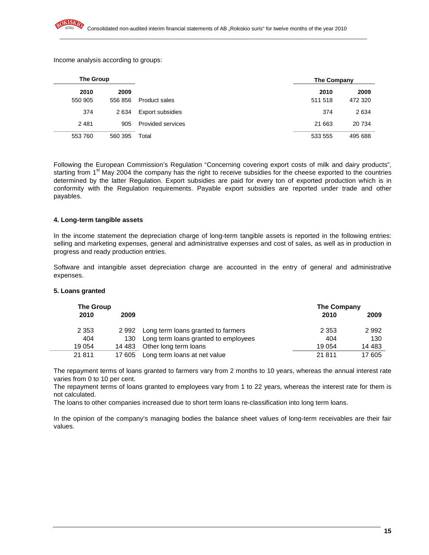#### Income analysis according to groups:

| <b>The Group</b> |         |                   | The Company |         |
|------------------|---------|-------------------|-------------|---------|
| 2010             | 2009    |                   | 2010        | 2009    |
| 550 905          | 556 856 | Product sales     | 511 518     | 472 320 |
| 374              | 2634    | Export subsidies  | 374         | 2634    |
| 2481             | 905     | Provided services | 21 663      | 20 734  |
| 553 760          | 560 395 | Total             | 533 555     | 495 688 |

Following the European Commission's Regulation "Concerning covering export costs of milk and dairy products", starting from 1<sup>st</sup> May 2004 the company has the right to receive subsidies for the cheese exported to the countries determined by the latter Regulation. Export subsidies are paid for every ton of exported production which is in conformity with the Regulation requirements. Payable export subsidies are reported under trade and other payables.

#### **4. Long-term tangible assets**

In the income statement the depreciation charge of long-term tangible assets is reported in the following entries: selling and marketing expenses, general and administrative expenses and cost of sales, as well as in production in progress and ready production entries.

Software and intangible asset depreciation charge are accounted in the entry of general and administrative expenses.

#### **5. Loans granted**

| <b>The Group</b> |        |                                      | The Company |          |
|------------------|--------|--------------------------------------|-------------|----------|
| 2010             | 2009   |                                      | 2010        | 2009     |
| 2 3 5 3          | 2 992  | Long term loans granted to farmers   | 2 3 5 3     | 2992     |
| 404              | 130    | Long term loans granted to employees | 404         | 130      |
| 19 0 54          | 14 483 | Other long term loans                | 19 0 54     | 14 4 8 3 |
| 21 811           | 17 605 | Long term loans at net value         | 21811       | 17 605   |

The repayment terms of loans granted to farmers vary from 2 months to 10 years, whereas the annual interest rate varies from 0 to 10 per cent.

The repayment terms of loans granted to employees vary from 1 to 22 years, whereas the interest rate for them is not calculated.

The loans to other companies increased due to short term loans re-classification into long term loans.

In the opinion of the company's managing bodies the balance sheet values of long-term receivables are their fair values.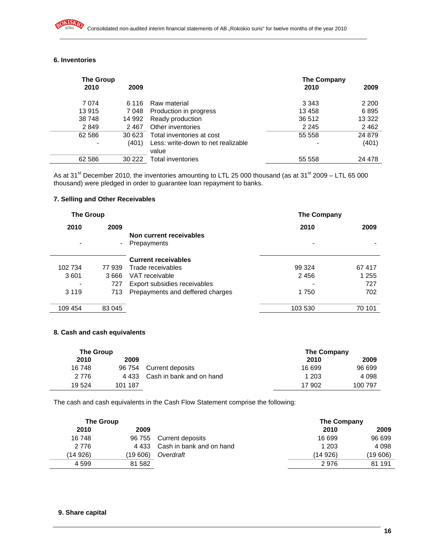| Inventories      |         |                               |
|------------------|---------|-------------------------------|
| <b>The Group</b> |         |                               |
| 2010             | 2009    |                               |
| 7 0 7 4          |         | 6.116 Raw material            |
| 13.015           | 7 N A R | <b>Production in progrape</b> |

## **6. Inventories**

| The Group                |        |                                    | The Company |         |
|--------------------------|--------|------------------------------------|-------------|---------|
| 2010                     | 2009   |                                    | 2010        | 2009    |
| 7 0 7 4                  | 6 116  | Raw material                       | 3 3 4 3     | 2 2 0 0 |
| 13 915                   | 7 048  | Production in progress             | 13 4 58     | 6895    |
| 38 748                   | 14 992 | Ready production                   | 36 512      | 13 3 22 |
| 2849                     | 2467   | Other inventories                  | 2 2 4 5     | 2462    |
| 62 586                   | 30 623 | Total inventories at cost          | 55 558      | 24 879  |
| $\overline{\phantom{a}}$ | (401)  | Less: write-down to net realizable | $\,$        | (401)   |
|                          |        | value                              |             |         |
| 62 586                   | 30 222 | Total inventories                  | 55 558      | 24 478  |

As at 31<sup>st</sup> December 2010, the inventories amounting to LTL 25 000 thousand (as at 31<sup>st</sup> 2009 – LTL 65 000 thousand) were pledged in order to guarantee loan repayment to banks.

## **7. Selling and Other Receivables**

| The Group |        |                                        | The Company |        |
|-----------|--------|----------------------------------------|-------------|--------|
| 2010      | 2009   | Non current receivables<br>Prepayments | 2010        | 2009   |
|           |        | <b>Current receivables</b>             |             |        |
| 102 734   | 77 939 | Trade receivables                      | 99 324      | 67417  |
| 3601      | 3666   | VAT receivable                         | 2456        | 1 255  |
|           | 727    | Export subsidies receivables           |             | 727    |
| 3 1 1 9   | 713    | Prepayments and deffered charges       | 1750        | 702    |
| 109 454   | 83 045 |                                        | 103 530     | 70 101 |

## **8. Cash and cash equivalents**

| <b>The Group</b> |         |                          | <b>The Company</b> |         |
|------------------|---------|--------------------------|--------------------|---------|
| 2010             | 2009    |                          | 2010               | 2009    |
| 16748            | 96 754  | Current deposits         | 16 699             | 96 699  |
| 2 7 7 6          | 4 4 3 3 | Cash in bank and on hand | 1 203              | 4 0 9 8 |
| 19524            | 101 187 |                          | 17 902             | 100 797 |

The cash and cash equivalents in the Cash Flow Statement comprise the following:

| The Group |          |                          |          | The Company |  |
|-----------|----------|--------------------------|----------|-------------|--|
| 2010      | 2009     |                          | 2010     | 2009        |  |
| 16748     | 96 755   | Current deposits         | 16 699   | 96 699      |  |
| 2 7 7 6   | 4 4 3 3  | Cash in bank and on hand | 1 203    | 4 0 9 8     |  |
| (14 926)  | (19 606) | Overdraft                | (14 926) | (19 606)    |  |
| 4599      | 81 582   |                          | 2976     | 81 191      |  |

#### **9. Share capital**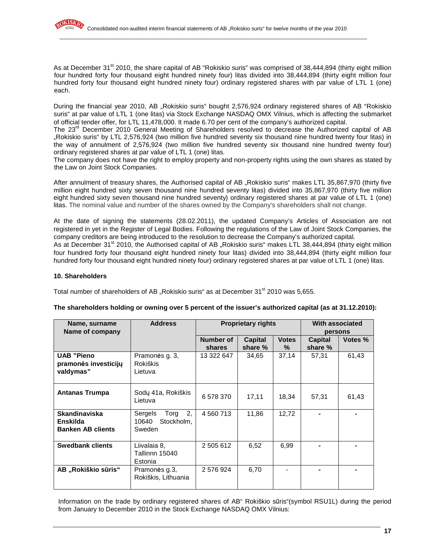

As at December 31<sup>st</sup> 2010, the share capital of AB "Rokiskio suris" was comprised of 38,444,894 (thirty eight million four hundred forty four thousand eight hundred ninety four) litas divided into 38,444,894 (thirty eight million four hundred forty four thousand eight hundred ninety four) ordinary registered shares with par value of LTL 1 (one) each.

During the financial year 2010, AB "Rokiskio suris" bought 2,576,924 ordinary registered shares of AB "Rokiskio suris" at par value of LTL 1 (one litas) via Stock Exchange NASDAQ OMX Vilnius, which is affecting the submarket of official tender offer, for LTL 11,478,000. It made 6.70 per cent of the company's authorized capital.

The 23<sup>rd</sup> December 2010 General Meeting of Shareholders resolved to decrease the Authorized capital of AB "Rokiskio suris" by LTL 2,576,924 (two million five hundred seventy six thousand nine hundred twenty four litas) in the way of annulment of 2,576,924 (two million five hundred seventy six thousand nine hundred twenty four) ordinary registered shares at par value of LTL 1 (one) litas.

The company does not have the right to employ property and non-property rights using the own shares as stated by the Law on Joint Stock Companies.

After annulment of treasury shares, the Authorised capital of AB . Rokiskio suris" makes LTL 35,867,970 (thirty five million eight hundred sixty seven thousand nine hundred seventy litas) divided into 35,867,970 (thirty five million eight hundred sixty seven thousand nine hundred seventy) ordinary registered shares at par value of LTL 1 (one) litas. The nominal value and number of the shares owned by the Company's shareholders shall not change.

At the date of signing the statements (28.02.2011), the updated Company's Articles of Association are not registered in yet in the Register of Legal Bodies. Following the regulations of the Law of Joint Stock Companies, the company creditors are being introduced to the resolution to decrease the Company's authorized capital. As at December 31<sup>st</sup> 2010, the Authorised capital of AB "Rokiskio suris" makes LTL 38,444,894 (thirty eight million four hundred forty four thousand eight hundred ninety four litas) divided into 38,444,894 (thirty eight million four hundred forty four thousand eight hundred ninety four) ordinary registered shares at par value of LTL 1 (one) litas.

#### **10. Shareholders**

Total number of shareholders of AB ..Rokiskio suris" as at December 31<sup>st</sup> 2010 was 5,655.

| Name, surname            | <b>Address</b>        | <b>Proprietary rights</b> |         |                | With associated |         |
|--------------------------|-----------------------|---------------------------|---------|----------------|-----------------|---------|
| Name of company          |                       |                           |         |                | persons         |         |
|                          |                       | Number of                 | Capital | <b>Votes</b>   | Capital         | Votes % |
|                          |                       | shares                    | share % | $\%$           | share %         |         |
| <b>UAB "Pieno</b>        | Pramonės g. 3,        | 13 322 647                | 34,65   | 37,14          | 57,31           | 61,43   |
| pramonės investicijų     | <b>Rokiškis</b>       |                           |         |                |                 |         |
| valdymas"                | Lietuva               |                           |         |                |                 |         |
|                          |                       |                           |         |                |                 |         |
|                          |                       |                           |         |                |                 |         |
| <b>Antanas Trumpa</b>    | Sodų 41a, Rokiškis    | 6578370                   | 17,11   | 18,34          | 57,31           | 61,43   |
|                          | Lietuva               |                           |         |                |                 |         |
| <b>Skandinaviska</b>     | 2,<br>Sergels<br>Torg | 4 560 713                 | 11.86   | 12,72          |                 |         |
| Enskilda                 | Stockholm,<br>10640   |                           |         |                |                 |         |
| <b>Banken AB clients</b> | Sweden                |                           |         |                |                 |         |
|                          |                       |                           |         |                |                 |         |
| <b>Swedbank clients</b>  | Liivalaia 8,          | 2 505 612                 | 6,52    | 6,99           |                 |         |
|                          | Tallinnn 15040        |                           |         |                |                 |         |
|                          | Estonia               |                           |         |                |                 |         |
| AB "Rokiškio sūris"      | Pramonės g.3,         | 2 576 924                 | 6,70    | $\blacksquare$ |                 |         |
|                          | Rokiškis, Lithuania   |                           |         |                |                 |         |
|                          |                       |                           |         |                |                 |         |

#### **The shareholders holding or owning over 5 percent of the issuer's authorized capital (as at 31.12.2010):**

Information on the trade by ordinary registered shares of AB" Rokiškio sūris"(symbol RSU1L) during the period from January to December 2010 in the Stock Exchange NASDAQ OMX Vilnius: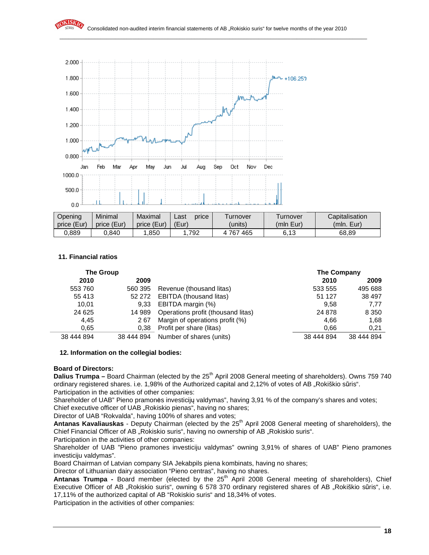

## **11. Financial ratios**

| <b>The Group</b> |            |                                    | <b>The Company</b> |            |
|------------------|------------|------------------------------------|--------------------|------------|
| 2010             | 2009       |                                    | 2010               | 2009       |
| 553 760          | 560 395    | Revenue (thousand litas)           | 533 555            | 495 688    |
| 55 413           | 52 272     | <b>EBITDA</b> (thousand litas)     | 51 1 27            | 38 497     |
| 10.01            | 9.33       | EBITDA margin (%)                  | 9.58               | 7,77       |
| 24 6 25          | 14 989     | Operations profit (thousand litas) | 24 8 78            | 8 3 5 0    |
| 4.45             | 267        | Margin of operations profit (%)    | 4.66               | 1.68       |
| 0.65             | 0.38       | Profit per share (litas)           | 0.66               | 0,21       |
| 38 444 894       | 38 444 894 | Number of shares (units)           | 38 444 894         | 38 444 894 |

## **12. Information on the collegial bodies:**

## **Board of Directors:**

**Dalius Trumpa** – Board Chairman (elected by the 25<sup>th</sup> April 2008 General meeting of shareholders). Owns 759 740 ordinary registered shares. i.e. 1,98% of the Authorized capital and 2,12% of votes of AB "Rokiškio sūris". Participation in the activities of other companies:

Shareholder of UAB" Pieno pramonės investicijų valdymas", having 3,91 % of the company's shares and votes; Chief executive officer of UAB "Rokiskio pienas", having no shares;

Director of UAB "Rokvalda", having 100% of shares and votes;

Antanas Kavaliauskas - Deputy Chairman (elected by the 25<sup>th</sup> April 2008 General meeting of shareholders), the Chief Financial Officer of AB "Rokiskio suris", having no ownership of AB "Rokiskio suris".

Participation in the activities of other companies:

Shareholder of UAB "Pieno pramones investiciju valdymas" owning 3,91% of shares of UAB" Pieno pramones investiciju valdymas".

Board Chairman of Latvian company SIA Jekabpils piena kombinats, having no shares;

Director of Lithuanian dairy association "Pieno centras", having no shares.

Antanas Trumpa - Board member (elected by the 25<sup>th</sup> April 2008 General meeting of shareholders), Chief Executive Officer of AB "Rokiskio suris", owning 6 578 370 ordinary registered shares of AB "Rokiškio sūris", i.e. 17,11% of the authorized capital of AB "Rokiskio suris" and 18,34% of votes.

Participation in the activities of other companies:

(mln. Eur)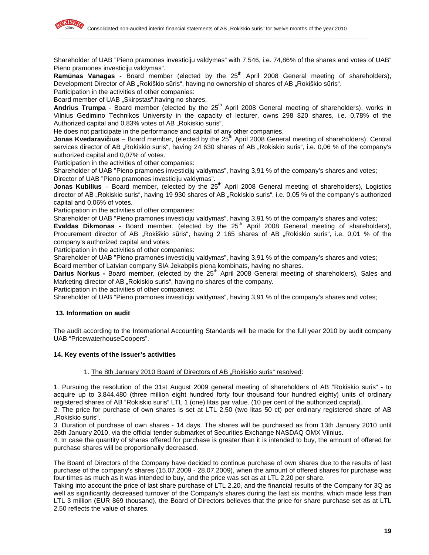

Shareholder of UAB "Pieno pramones investiciju valdymas" with 7 546, i.e. 74,86% of the shares and votes of UAB" Pieno pramones investiciju valdymas".

**Ramūnas Vanagas -** Board member (elected by the 25<sup>th</sup> April 2008 General meeting of shareholders), Development Director of AB "Rokiškio sūris", having no ownership of shares of AB "Rokiškio sūris".

Participation in the activities of other companies:

Board member of UAB "Skirpstas", having no shares.

Andrius Trumpa - Board member (elected by the 25<sup>th</sup> April 2008 General meeting of shareholders), works in Vilnius Gedimino Technikos University in the capacity of lecturer, owns 298 820 shares, i.e. 0,78% of the Authorized capital and 0,83% votes of AB "Rokiskio suris".

He does not participate in the performance and capital of any other companies.

**Jonas Kvedaravičius** – Board member, (elected by the 25<sup>th</sup> April 2008 General meeting of shareholders), Central services director of AB "Rokiskio suris", having 24 630 shares of AB "Rokiskio suris", i.e. 0,06 % of the company's authorized capital and 0,07% of votes.

Participation in the activities of other companies:

Shareholder of UAB "Pieno pramonės investicijų valdymas", having 3,91 % of the company's shares and votes; Director of UAB "Pieno pramones investiciju valdymas".

Jonas Kubilius - Board member, (elected by the 25<sup>th</sup> April 2008 General meeting of shareholders), Logistics director of AB "Rokiskio suris", having 19 930 shares of AB "Rokiskio suris", i.e. 0,05 % of the company's authorized capital and 0,06% of votes.

Participation in the activities of other companies:

Shareholder of UAB "Pieno pramones investiciju valdymas", having 3,91 % of the company's shares and votes;

Evaldas Dikmonas - Board member, (elected by the 25<sup>th</sup> April 2008 General meeting of shareholders), Procurement director of AB "Rokiškio sūris", having 2 165 shares of AB "Rokiskio suris", i.e. 0,01 % of the company's authorized capital and votes.

Participation in the activities of other companies:

Shareholder of UAB "Pieno pramonės investicijų valdymas", having 3,91 % of the company's shares and votes; Board member of Latvian company SIA Jekabpils piena kombinats, having no shares.

**Darius Norkus -** Board member, (elected by the 25<sup>th</sup> April 2008 General meeting of shareholders), Sales and Marketing director of AB "Rokiskio suris", having no shares of the company.

Participation in the activities of other companies:

Shareholder of UAB "Pieno pramones investiciju valdymas", having 3,91 % of the company's shares and votes;

#### **13. Information on audit**

The audit according to the International Accounting Standards will be made for the full year 2010 by audit company UAB "PricewaterhouseCoopers".

#### **14. Key events of the issuer's activities**

#### 1. The 8th January 2010 Board of Directors of AB "Rokiskio suris" resolved:

1. Pursuing the resolution of the 31st August 2009 general meeting of shareholders of AB "Rokiskio suris" - to acquire up to 3.844.480 (three million eight hundred forty four thousand four hundred eighty) units of ordinary registered shares of AB "Rokiskio suris" LTL 1 (one) litas par value. (10 per cent of the authorized capital).

2. The price for purchase of own shares is set at LTL 2,50 (two litas 50 ct) per ordinary registered share of AB "Rokiskio suris".

3. Duration of purchase of own shares - 14 days. The shares will be purchased as from 13th January 2010 until 26th January 2010, via the official tender submarket of Securities Exchange NASDAQ OMX Vilnius.

4. In case the quantity of shares offered for purchase is greater than it is intended to buy, the amount of offered for purchase shares will be proportionally decreased.

The Board of Directors of the Company have decided to continue purchase of own shares due to the results of last purchase of the company's shares (15.07.2009 - 28.07.2009), when the amount of offered shares for purchase was four times as much as it was intended to buy, and the price was set as at LTL 2,20 per share.

Taking into account the price of last share purchase of LTL 2,20, and the financial results of the Company for 3Q as well as significantly decreased turnover of the Company's shares during the last six months, which made less than LTL 3 million (EUR 869 thousand), the Board of Directors believes that the price for share purchase set as at LTL 2,50 reflects the value of shares.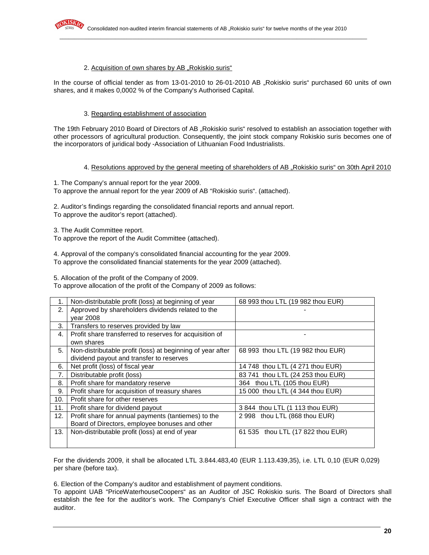## 2. Acquisition of own shares by AB "Rokiskio suris"

In the course of official tender as from 13-01-2010 to 26-01-2010 AB "Rokiskio suris" purchased 60 units of own shares, and it makes 0,0002 % of the Company's Authorised Capital.

# 3. Regarding establishment of association

The 19th February 2010 Board of Directors of AB "Rokiskio suris" resolved to establish an association together with other processors of agricultural production. Consequently, the joint stock company Rokiskio suris becomes one of the incorporators of juridical body -Association of Lithuanian Food Industrialists.

## 4. Resolutions approved by the general meeting of shareholders of AB "Rokiskio suris" on 30th April 2010

1. The Company's annual report for the year 2009.

To approve the annual report for the year 2009 of AB "Rokiskio suris". (attached).

2. Auditor's findings regarding the consolidated financial reports and annual report. To approve the auditor's report (attached).

3. The Audit Committee report.

To approve the report of the Audit Committee (attached).

4. Approval of the company's consolidated financial accounting for the year 2009. To approve the consolidated financial statements for the year 2009 (attached).

5. Allocation of the profit of the Company of 2009.

To approve allocation of the profit of the Company of 2009 as follows:

|     | Non-distributable profit (loss) at beginning of year           | 68 993 thou LTL (19 982 thou EUR) |
|-----|----------------------------------------------------------------|-----------------------------------|
| 2.  | Approved by shareholders dividends related to the<br>vear 2008 |                                   |
| 3.  | Transfers to reserves provided by law                          |                                   |
| 4.  | Profit share transferred to reserves for acquisition of        |                                   |
|     | own shares                                                     |                                   |
| 5.  | Non-distributable profit (loss) at beginning of year after     | 68 993 thou LTL (19 982 thou EUR) |
|     | dividend payout and transfer to reserves                       |                                   |
| 6.  | Net profit (loss) of fiscal year                               | 14 748 thou LTL (4 271 thou EUR)  |
| 7.  | Distributable profit (loss)                                    | 83 741 thou LTL (24 253 thou EUR) |
| 8.  | Profit share for mandatory reserve                             | 364 thou LTL (105 thou EUR)       |
| 9.  | Profit share for acquisition of treasury shares                | 15 000 thou LTL (4 344 thou EUR)  |
| 10. | Profit share for other reserves                                |                                   |
| 11. | Profit share for dividend payout                               | 3844 thou LTL (1 113 thou EUR)    |
| 12. | Profit share for annual payments (tantiemes) to the            | 2 998 thou LTL (868 thou EUR)     |
|     | Board of Directors, employee bonuses and other                 |                                   |
| 13. | Non-distributable profit (loss) at end of year                 | 61 535 thou LTL (17 822 thou EUR) |
|     |                                                                |                                   |

For the dividends 2009, it shall be allocated LTL 3.844.483,40 (EUR 1.113.439,35), i.e. LTL 0,10 (EUR 0,029) per share (before tax).

6. Election of the Company's auditor and establishment of payment conditions.

To appoint UAB "PriceWaterhouseCoopers" as an Auditor of JSC Rokiskio suris. The Board of Directors shall establish the fee for the auditor's work. The Company's Chief Executive Officer shall sign a contract with the auditor.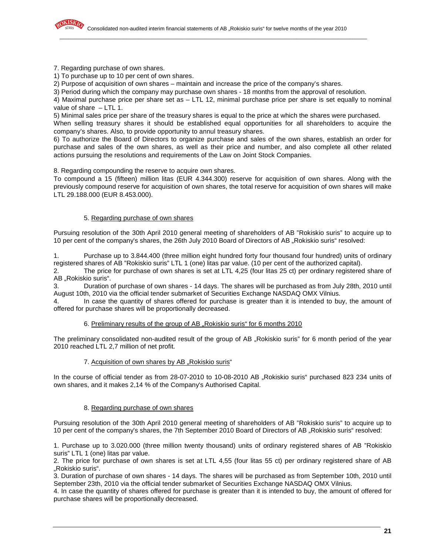

7. Regarding purchase of own shares.

1) To purchase up to 10 per cent of own shares.

2) Purpose of acquisition of own shares – maintain and increase the price of the company's shares.

3) Period during which the company may purchase own shares - 18 months from the approval of resolution.

4) Maximal purchase price per share set as – LTL 12, minimal purchase price per share is set equally to nominal value of share – LTL 1.

5) Minimal sales price per share of the treasury shares is equal to the price at which the shares were purchased.

When selling treasury shares it should be established equal opportunities for all shareholders to acquire the company's shares. Also, to provide opportunity to annul treasury shares.

6) To authorize the Board of Directors to organize purchase and sales of the own shares, establish an order for purchase and sales of the own shares, as well as their price and number, and also complete all other related actions pursuing the resolutions and requirements of the Law on Joint Stock Companies.

8. Regarding compounding the reserve to acquire own shares.

To compound a 15 (fifteen) million litas (EUR 4.344.300) reserve for acquisition of own shares. Along with the previously compound reserve for acquisition of own shares, the total reserve for acquisition of own shares will make LTL 29.188.000 (EUR 8.453.000).

#### 5. Regarding purchase of own shares

Pursuing resolution of the 30th April 2010 general meeting of shareholders of AB "Rokiskio suris" to acquire up to 10 per cent of the company's shares, the 26th July 2010 Board of Directors of AB "Rokiskio suris" resolved:

1. Purchase up to 3.844.400 (three million eight hundred forty four thousand four hundred) units of ordinary registered shares of AB "Rokiskio suris" LTL 1 (one) litas par value. (10 per cent of the authorized capital).

2. The price for purchase of own shares is set at LTL 4,25 (four litas 25 ct) per ordinary registered share of AB "Rokiskio suris".

3. Duration of purchase of own shares - 14 days. The shares will be purchased as from July 28th, 2010 until August 10th, 2010 via the official tender submarket of Securities Exchange NASDAQ OMX Vilnius.

4. In case the quantity of shares offered for purchase is greater than it is intended to buy, the amount of offered for purchase shares will be proportionally decreased.

#### 6. Preliminary results of the group of AB "Rokiskio suris" for 6 months 2010

The preliminary consolidated non-audited result of the group of AB "Rokiskio suris" for 6 month period of the year 2010 reached LTL 2,7 million of net profit.

#### 7. Acquisition of own shares by AB "Rokiskio suris"

In the course of official tender as from 28-07-2010 to 10-08-2010 AB "Rokiskio suris" purchased 823 234 units of own shares, and it makes 2,14 % of the Company's Authorised Capital.

#### 8. Regarding purchase of own shares

Pursuing resolution of the 30th April 2010 general meeting of shareholders of AB "Rokiskio suris" to acquire up to 10 per cent of the company's shares, the 7th September 2010 Board of Directors of AB "Rokiskio suris" resolved:

1. Purchase up to 3.020.000 (three million twenty thousand) units of ordinary registered shares of AB "Rokiskio suris" LTL 1 (one) litas par value.

2. The price for purchase of own shares is set at LTL 4,55 (four litas 55 ct) per ordinary registered share of AB "Rokiskio suris".

3. Duration of purchase of own shares - 14 days. The shares will be purchased as from September 10th, 2010 until September 23th, 2010 via the official tender submarket of Securities Exchange NASDAQ OMX Vilnius.

4. In case the quantity of shares offered for purchase is greater than it is intended to buy, the amount of offered for purchase shares will be proportionally decreased.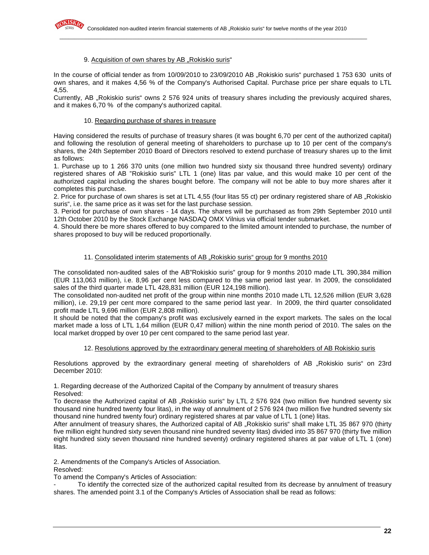

#### 9. Acquisition of own shares by AB "Rokiskio suris"

In the course of official tender as from 10/09/2010 to 23/09/2010 AB "Rokiskio suris" purchased 1 753 630 units of own shares, and it makes 4,56 % of the Company's Authorised Capital. Purchase price per share equals to LTL 4,55.

Currently, AB "Rokiskio suris" owns 2 576 924 units of treasury shares including the previously acquired shares, and it makes 6,70 % of the company's authorized capital.

#### 10. Regarding purchase of shares in treasure

Having considered the results of purchase of treasury shares (it was bought 6,70 per cent of the authorized capital) and following the resolution of general meeting of shareholders to purchase up to 10 per cent of the company's shares, the 24th September 2010 Board of Directors resolved to extend purchase of treasury shares up to the limit as follows:

1. Purchase up to 1 266 370 units (one million two hundred sixty six thousand three hundred seventy) ordinary registered shares of AB "Rokiskio suris" LTL 1 (one) litas par value, and this would make 10 per cent of the authorized capital including the shares bought before. The company will not be able to buy more shares after it completes this purchase.

2. Price for purchase of own shares is set at LTL 4,55 (four litas 55 ct) per ordinary registered share of AB "Rokiskio suris", i.e. the same price as it was set for the last purchase session.

3. Period for purchase of own shares - 14 days. The shares will be purchased as from 29th September 2010 until 12th October 2010 by the Stock Exchange NASDAQ OMX Vilnius via official tender submarket.

4. Should there be more shares offered to buy compared to the limited amount intended to purchase, the number of shares proposed to buy will be reduced proportionally.

#### 11. Consolidated interim statements of AB "Rokiskio suris" group for 9 months 2010

The consolidated non-audited sales of the AB"Rokiskio suris" group for 9 months 2010 made LTL 390,384 million (EUR 113,063 million), i.e. 8,96 per cent less compared to the same period last year. In 2009, the consolidated sales of the third quarter made LTL 428,831 million (EUR 124,198 million).

The consolidated non-audited net profit of the group within nine months 2010 made LTL 12,526 million (EUR 3,628 million), i.e. 29,19 per cent more compared to the same period last year. In 2009, the third quarter consolidated profit made LTL 9,696 million (EUR 2,808 million).

It should be noted that the company's profit was exclusively earned in the export markets. The sales on the local market made a loss of LTL 1,64 million (EUR 0,47 million) within the nine month period of 2010. The sales on the local market dropped by over 10 per cent compared to the same period last year.

#### 12. Resolutions approved by the extraordinary general meeting of shareholders of AB Rokiskio suris

Resolutions approved by the extraordinary general meeting of shareholders of AB "Rokiskio suris" on 23rd December 2010:

1. Regarding decrease of the Authorized Capital of the Company by annulment of treasury shares Resolved:

To decrease the Authorized capital of AB "Rokiskio suris" by LTL 2 576 924 (two million five hundred seventy six thousand nine hundred twenty four litas), in the way of annulment of 2 576 924 (two million five hundred seventy six thousand nine hundred twenty four) ordinary registered shares at par value of LTL 1 (one) litas.

After annulment of treasury shares, the Authorized capital of AB "Rokiskio suris" shall make LTL 35 867 970 (thirty five million eight hundred sixty seven thousand nine hundred seventy litas) divided into 35 867 970 (thirty five million eight hundred sixty seven thousand nine hundred seventy) ordinary registered shares at par value of LTL 1 (one) litas.

2. Amendments of the Company's Articles of Association.

#### Resolved:

To amend the Company's Articles of Association:

- To identify the corrected size of the authorized capital resulted from its decrease by annulment of treasury shares. The amended point 3.1 of the Company's Articles of Association shall be read as follows: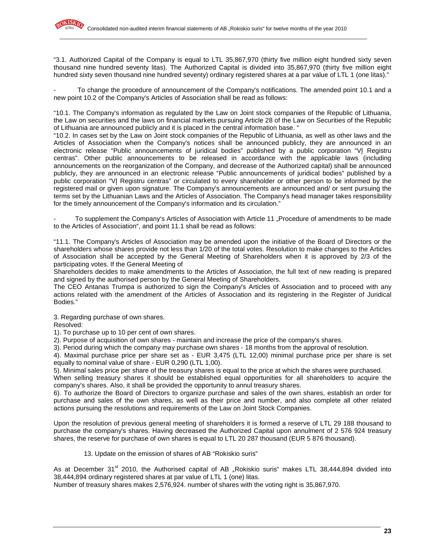"3.1. Authorized Capital of the Company is equal to LTL 35,867,970 (thirty five million eight hundred sixty seven thousand nine hundred seventy litas). The Authorized Capital is divided into 35,867,970 (thirty five million eight hundred sixty seven thousand nine hundred seventy) ordinary registered shares at a par value of LTL 1 (one litas)."

To change the procedure of announcement of the Company's notifications. The amended point 10.1 and a new point 10.2 of the Company's Articles of Association shall be read as follows:

"10.1. The Company's information as regulated by the Law on Joint stock companies of the Republic of Lithuania, the Law on securities and the laws on financial markets pursuing Article 28 of the Law on Securities of the Republic of Lithuania are announced publicly and it is placed in the central information base. "

"10.2. In cases set by the Law on Joint stock companies of the Republic of Lithuania, as well as other laws and the Articles of Association when the Company's notices shall be announced publicly, they are announced in an electronic release "Public announcements of juridical bodies" published by a public corporation "VĮ Registru centras". Other public announcements to be released in accordance with the applicable laws (including announcements on the reorganization of the Company, and decrease of the Authorized capital) shall be announced publicly, they are announced in an electronic release "Public announcements of juridical bodies" published by a public corporation "VĮ Registru centras" or circulated to every shareholder or other person to be informed by the registered mail or given upon signature. The Company's announcements are announced and/ or sent pursuing the terms set by the Lithuanian Laws and the Articles of Association. The Company's head manager takes responsibility for the timely announcement of the Company's information and its circulation."

To supplement the Company's Articles of Association with Article 11 "Procedure of amendments to be made to the Articles of Association", and point 11.1 shall be read as follows:

"11.1. The Company's Articles of Association may be amended upon the initiative of the Board of Directors or the shareholders whose shares provide not less than 1/20 of the total votes. Resolution to make changes to the Articles of Association shall be accepted by the General Meeting of Shareholders when it is approved by 2/3 of the participating votes. If the General Meeting of

Shareholders decides to make amendments to the Articles of Association, the full text of new reading is prepared and signed by the authorised person by the General Meeting of Shareholders.

The CEO Antanas Trumpa is authorized to sign the Company's Articles of Association and to proceed with any actions related with the amendment of the Articles of Association and its registering in the Register of Juridical Bodies."

3. Regarding purchase of own shares.

Resolved:

1). To purchase up to 10 per cent of own shares.

2). Purpose of acquisition of own shares - maintain and increase the price of the company's shares.

3). Period during which the company may purchase own shares - 18 months from the approval of resolution.

4). Maximal purchase price per share set as - EUR 3,475 (LTL 12,00) minimal purchase price per share is set equally to nominal value of share - EUR 0,290 (LTL 1,00).

5). Minimal sales price per share of the treasury shares is equal to the price at which the shares were purchased.

When selling treasury shares it should be established equal opportunities for all shareholders to acquire the company's shares. Also, it shall be provided the opportunity to annul treasury shares.

6). To authorize the Board of Directors to organize purchase and sales of the own shares, establish an order for purchase and sales of the own shares, as well as their price and number, and also complete all other related actions pursuing the resolutions and requirements of the Law on Joint Stock Companies.

Upon the resolution of previous general meeting of shareholders it is formed a reserve of LTL 29 188 thousand to purchase the company's shares. Having decreased the Authorized Capital upon annulment of 2 576 924 treasury shares, the reserve for purchase of own shares is equal to LTL 20 287 thousand (EUR 5 876 thousand).

13. Update on the emission of shares of AB "Rokiskio suris"

As at December  $31<sup>st</sup>$  2010, the Authorised capital of AB "Rokiskio suris" makes LTL 38,444,894 divided into 38,444,894 ordinary registered shares at par value of LTL 1 (one) litas.

Number of treasury shares makes 2,576,924. number of shares with the voting right is 35,867,970.